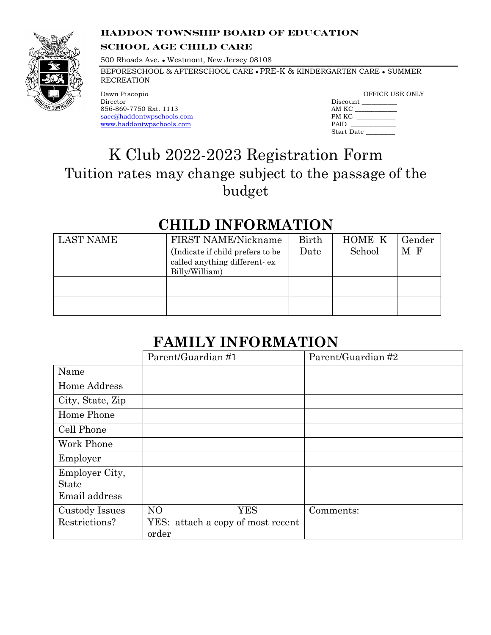#### **HADDON TOWNSHIP BOARD OF EDUCATION**



#### **SCHOOL AGE CHILD CARE**

500 Rhoads Ave. • Westmont, New Jersey 08108

BEFORESCHOOL & AFTERSCHOOL CARE . PRE-K & KINDERGARTEN CARE . SUMMER **RECREATION** 

 Dawn Piscopio 856-869-7750 Ext. 1113 Director sacc@haddontwpschools.com www.haddontwpschools.com

|            | OFFICE USE ONLY |
|------------|-----------------|
| Discount   |                 |
| AM KC      |                 |
| PM KC      |                 |
| PAID       |                 |
| Start Date |                 |

## K Club 2022-2023 Registration Form Tuition rates may change subject to the passage of the budget

### **CHILD INFORMATION**

| LAST NAME | FIRST NAME/Nickname<br>(Indicate if child prefers to be)<br>called anything different-ex<br>Billy/William) | Birth<br>Date | <b>HOME K</b><br>School | Gender<br>M F |
|-----------|------------------------------------------------------------------------------------------------------------|---------------|-------------------------|---------------|
|           |                                                                                                            |               |                         |               |
|           |                                                                                                            |               |                         |               |

## **FAMILY INFORMATION**

|                                 | Parent/Guardian #1                                                  | Parent/Guardian #2 |
|---------------------------------|---------------------------------------------------------------------|--------------------|
| Name                            |                                                                     |                    |
| Home Address                    |                                                                     |                    |
| City, State, Zip                |                                                                     |                    |
| Home Phone                      |                                                                     |                    |
| Cell Phone                      |                                                                     |                    |
| Work Phone                      |                                                                     |                    |
| Employer                        |                                                                     |                    |
| Employer City,<br><b>State</b>  |                                                                     |                    |
| Email address                   |                                                                     |                    |
| Custody Issues<br>Restrictions? | N <sub>O</sub><br>YES<br>YES: attach a copy of most recent<br>order | Comments:          |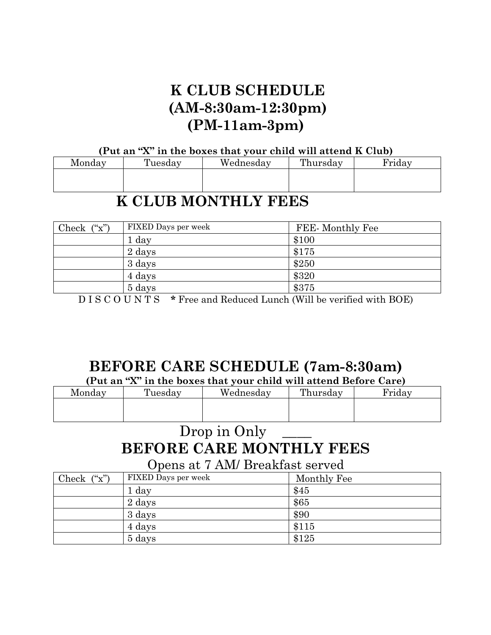## **K CLUB SCHEDULE (AM-8:30am-12:30pm) (PM-11am-3pm)**

#### **(Put an "X" in the boxes that your child will attend K Club)**

| Monday | Tuesday | Wednesday | Thursday | Friday |
|--------|---------|-----------|----------|--------|
|        |         |           |          |        |
|        |         |           |          |        |

### **K CLUB MONTHLY FEES**

| Check $(\tilde{\mathbf{x}})$ | FIXED Days per week | FEE-Monthly Fee |
|------------------------------|---------------------|-----------------|
|                              | 1 day               | \$100           |
|                              | 2 days              | \$175           |
|                              | 3 days              | \$250           |
|                              | 4 days              | \$320           |
|                              | 5 days              | \$375           |

D I S C O U N T S **\*** Free and Reduced Lunch (Will be verified with BOE)

## **BEFORE CARE SCHEDULE (7am-8:30am)**

**(Put an "X" in the boxes that your child will attend Before Care)**

| Monday | Tuesday | Wednesday | Thursday | 'rıday |
|--------|---------|-----------|----------|--------|
|        |         |           |          |        |
|        |         |           |          |        |

## Drop in Only **BEFORE CARE MONTHLY FEES**

Opens at 7 AM/ Breakfast served

| Check $(\tilde{\mathbf{x}})$ | FIXED Days per week | Monthly Fee |
|------------------------------|---------------------|-------------|
|                              | 1 day               | \$45        |
|                              | 2 days              | \$65        |
|                              | 3 days              | \$90        |
|                              | 4 days              | \$115       |
|                              | 5 days              | \$125       |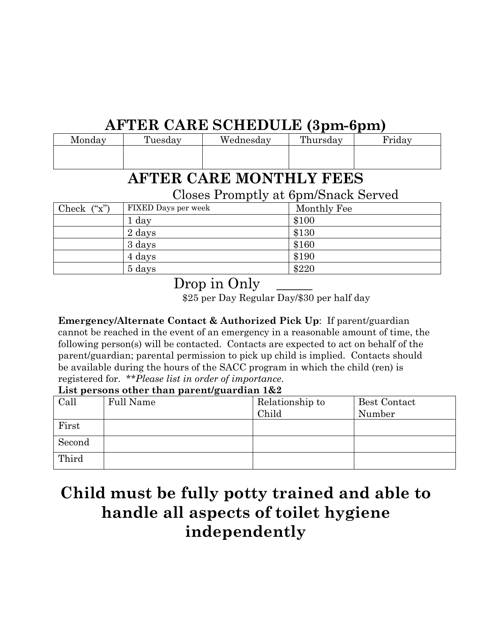# **AFTER CARE SCHEDULE (3pm-6pm)**

| Monday | Tuesday | Wednesday | Thursday | r'rıday |
|--------|---------|-----------|----------|---------|
|        |         |           |          |         |
|        |         |           |          |         |

## **AFTER CARE MONTHLY FEES**

Closes Promptly at 6pm/Snack Served

|                              | <u>ັ</u>            |             |
|------------------------------|---------------------|-------------|
| Check $(\tilde{\mathbf{x}})$ | FIXED Days per week | Monthly Fee |
|                              | 1 day               | \$100       |
|                              | 2 days              | \$130       |
|                              | 3 days              | \$160       |
|                              | 4 days              | \$190       |
|                              | 5 days              | \$220       |

Drop in Only

\$25 per Day Regular Day/\$30 per half day

**Emergency/Alternate Contact & Authorized Pick Up**: If parent/guardian cannot be reached in the event of an emergency in a reasonable amount of time, the following person(s) will be contacted. Contacts are expected to act on behalf of the parent/guardian; parental permission to pick up child is implied. Contacts should be available during the hours of the SACC program in which the child (ren) is registered for. *\*\*Please list in order of importance*.

#### **List persons other than parent/guardian 1&2**

|        | $=$ $\frac{1}{2}$ $\frac{1}{2}$ $\frac{1}{2}$ $\frac{1}{2}$ $\frac{1}{2}$ $\frac{1}{2}$ $\frac{1}{2}$ $\frac{1}{2}$ $\frac{1}{2}$ $\frac{1}{2}$ $\frac{1}{2}$ $\frac{1}{2}$ $\frac{1}{2}$ $\frac{1}{2}$ $\frac{1}{2}$ $\frac{1}{2}$ $\frac{1}{2}$ $\frac{1}{2}$ $\frac{1}{2}$ $\frac{1}{2}$ $\frac{1}{2}$ $\frac{1}{2$ |                          |                               |
|--------|------------------------------------------------------------------------------------------------------------------------------------------------------------------------------------------------------------------------------------------------------------------------------------------------------------------------|--------------------------|-------------------------------|
| Call   | <b>Full Name</b>                                                                                                                                                                                                                                                                                                       | Relationship to<br>Child | <b>Best Contact</b><br>Number |
| First  |                                                                                                                                                                                                                                                                                                                        |                          |                               |
| Second |                                                                                                                                                                                                                                                                                                                        |                          |                               |
| Third  |                                                                                                                                                                                                                                                                                                                        |                          |                               |

# **Child must be fully potty trained and able to handle all aspects of toilet hygiene independently**